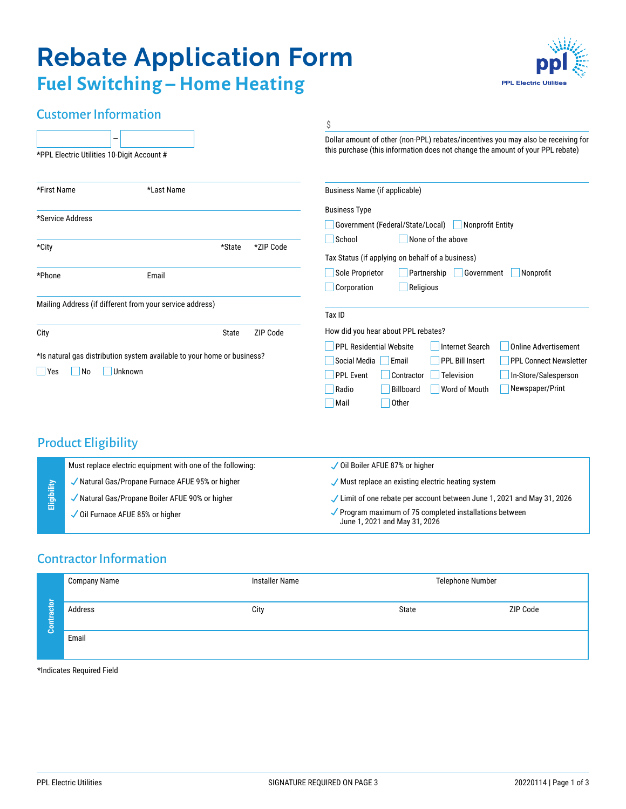# **Rebate Application Form Fuel Switching – Home Heating**



## Customer Information

|                                                                         | Ś                                                                                                                                                                   |  |  |  |
|-------------------------------------------------------------------------|---------------------------------------------------------------------------------------------------------------------------------------------------------------------|--|--|--|
| -<br>*PPL Electric Utilities 10-Digit Account #                         | Dollar amount of other (non-PPL) rebates/incentives you may also be receiving for<br>this purchase (this information does not change the amount of your PPL rebate) |  |  |  |
| *First Name<br>*Last Name                                               | Business Name (if applicable)                                                                                                                                       |  |  |  |
|                                                                         | <b>Business Type</b>                                                                                                                                                |  |  |  |
| *Service Address                                                        | Government (Federal/State/Local)<br>Nonprofit Entity                                                                                                                |  |  |  |
|                                                                         | School<br>None of the above                                                                                                                                         |  |  |  |
| *ZIP Code<br>*City<br>*State                                            | Tax Status (if applying on behalf of a business)                                                                                                                    |  |  |  |
|                                                                         |                                                                                                                                                                     |  |  |  |
| *Phone<br>Email                                                         | Sole Proprietor<br>Partnership<br>Government<br>Nonprofit                                                                                                           |  |  |  |
|                                                                         | Corporation<br>$\blacksquare$ Religious                                                                                                                             |  |  |  |
| Mailing Address (if different from your service address)                |                                                                                                                                                                     |  |  |  |
|                                                                         | Tax ID                                                                                                                                                              |  |  |  |
| ZIP Code<br>City<br>State                                               | How did you hear about PPL rebates?                                                                                                                                 |  |  |  |
|                                                                         | <b>PPL Residential Website</b><br><b>Online Advertisement</b><br>Internet Search                                                                                    |  |  |  |
| *Is natural gas distribution system available to your home or business? | Social Media<br>Email<br><b>PPL Bill Insert</b><br><b>PPL Connect Newsletter</b>                                                                                    |  |  |  |
| <b>Unknown</b><br>Yes<br>N <sub>o</sub>                                 | <b>PPL Event</b><br>Contractor<br>Television<br>In-Store/Salesperson                                                                                                |  |  |  |
|                                                                         | Newspaper/Print<br>Billboard<br>Radio<br>Word of Mouth                                                                                                              |  |  |  |
|                                                                         | Other<br>Mail                                                                                                                                                       |  |  |  |

### Product Eligibility

| Eligibility | Must replace electric equipment with one of the following: | ✓ Oil Boiler AFUE 87% or higher                                                                     |  |  |
|-------------|------------------------------------------------------------|-----------------------------------------------------------------------------------------------------|--|--|
|             | Natural Gas/Propane Furnace AFUE 95% or higher             | Must replace an existing electric heating system                                                    |  |  |
|             | Natural Gas/Propane Boiler AFUE 90% or higher *            | ✓ Limit of one rebate per account between June 1, 2021 and May 31, 2026                             |  |  |
|             | Oil Furnace AFUE 85% or higher                             | $\checkmark$ Program maximum of 75 completed installations between<br>June 1, 2021 and May 31, 2026 |  |  |

# Contractor Information

|                       | Company Name | <b>Installer Name</b> | Telephone Number |          |  |
|-----------------------|--------------|-----------------------|------------------|----------|--|
| B<br>e<br>Ξ<br>ō<br>ō | Address      | City                  | State            | ZIP Code |  |
|                       | Email        |                       |                  |          |  |

\*Indicates Required Field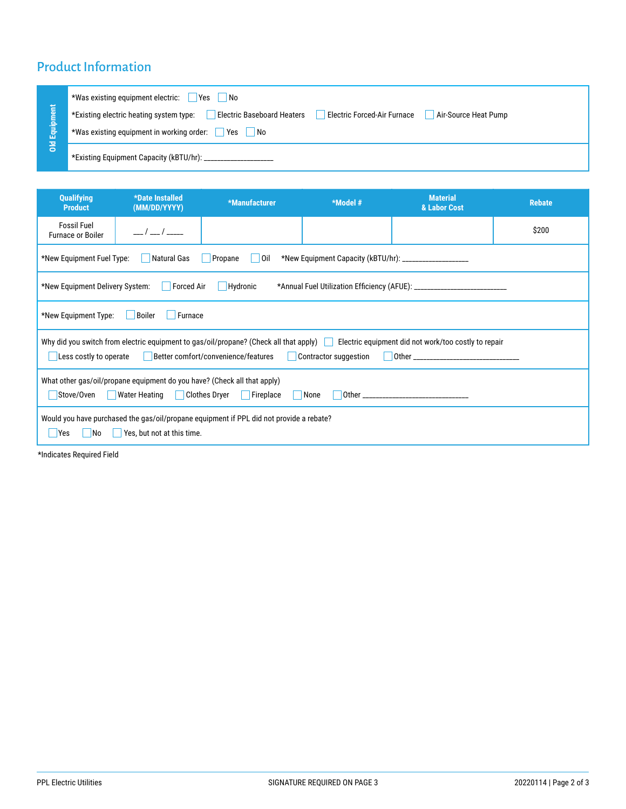# Product Information

| Equipm<br>픙 | *Was existing equipment electric:<br><b>Yes</b><br>  No                                                                             |
|-------------|-------------------------------------------------------------------------------------------------------------------------------------|
|             | Electric Forced-Air Furnace<br><b>Electric Baseboard Heaters</b><br>*Existing electric heating system type:<br>Air-Source Heat Pump |
|             | *Was existing equipment in working order: Ves<br>  No                                                                               |
|             |                                                                                                                                     |

| Qualifying<br><b>Product</b>                                                                                                                                                                                | *Date Installed<br>(MM/DD/YYYY) | *Manufacturer | *Model # | <b>Material</b><br>& Labor Cost | <b>Rebate</b> |
|-------------------------------------------------------------------------------------------------------------------------------------------------------------------------------------------------------------|---------------------------------|---------------|----------|---------------------------------|---------------|
| <b>Fossil Fuel</b><br><b>Furnace or Boiler</b>                                                                                                                                                              | $\sqrt{1}$                      |               |          |                                 | \$200         |
| *New Equipment Fuel Type:<br>Natural Gas<br>Oil<br>Propane<br>L.                                                                                                                                            |                                 |               |          |                                 |               |
| Hydronic<br>*New Equipment Delivery System:<br><b>Forced Air</b>                                                                                                                                            |                                 |               |          |                                 |               |
| *New Equipment Type:<br>Boiler<br>Furnace                                                                                                                                                                   |                                 |               |          |                                 |               |
| Why did you switch from electric equipment to gas/oil/propane? (Check all that apply) Electric equipment did not work/too costly to repair<br>Less costly to operate<br>Better comfort/convenience/features |                                 |               |          |                                 |               |
| What other gas/oil/propane equipment do you have? (Check all that apply)<br>Stove/Oven<br>Water Heating   Clothes Dryer<br>Fireplace<br>None                                                                |                                 |               |          |                                 |               |
| Would you have purchased the gas/oil/propane equipment if PPL did not provide a rebate?<br>Yes, but not at this time.<br><b>Yes</b><br>  No                                                                 |                                 |               |          |                                 |               |

\*Indicates Required Field